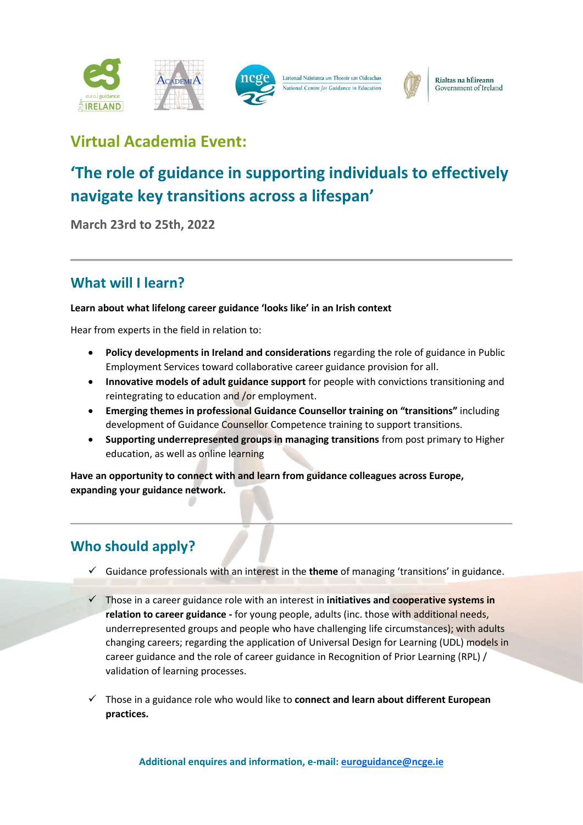



Rialtas na hÉireann Government of Ireland

# **Virtual Academia Event:**

# **'The role of guidance in supporting individuals to effectively navigate key transitions across a lifespan'**

**March 23rd to 25th, 2022**

### **What will I learn?**

### **Learn about what lifelong career guidance 'looks like' in an Irish context**

Hear from experts in the field in relation to:

- Policy developments in Ireland and considerations regarding the role of guidance in Public Employment Services toward collaborative career guidance provision for all.
- **Innovative models of adult guidance support** for people with convictions transitioning and reintegrating to education and /or employment.
- **Emerging themes in professional Guidance Counsellor training on "transitions"** including development of Guidance Counsellor Competence training to support transitions.
- **Supporting underrepresented groups in managing transitions** from post primary to Higher education, as well as online learning

**Have an opportunity to connect with and learn from guidance colleagues across Europe, expanding your guidance network.** 

## **Who should apply?**

- ✓ Guidance professionals with an interest in the **theme** of managing 'transitions' in guidance.
- ✓ Those in a career guidance role with an interest in **initiatives and cooperative systems in relation to career guidance -** for young people, adults (inc. those with additional needs, underrepresented groups and people who have challenging life circumstances); with adults changing careers; regarding the application of Universal Design for Learning (UDL) models in career guidance and the role of career guidance in Recognition of Prior Learning (RPL) / validation of learning processes.
- ✓ Those in a guidance role who would like to **connect and learn about different European practices.**

**Additional enquires and information, e-mail[: euroguidance@ncge.ie](mailto:euroguidance@ncge.ie)**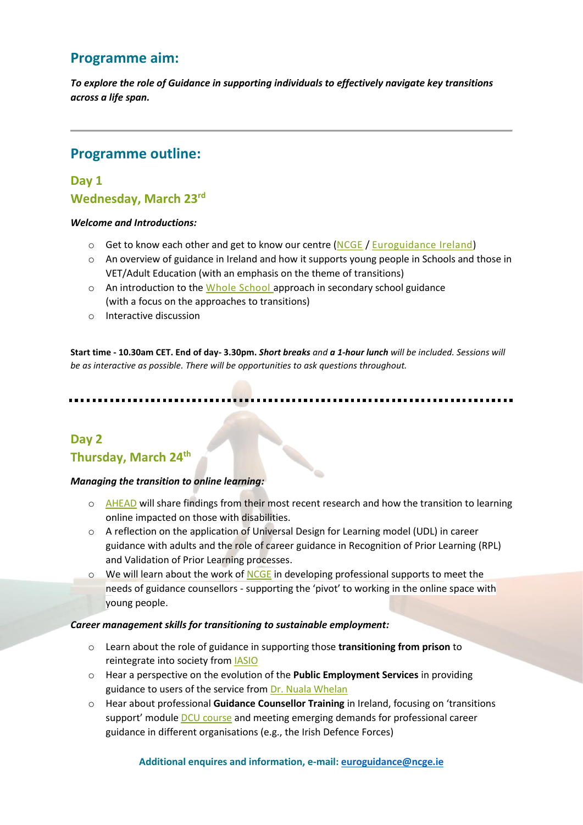### **Programme aim:**

*To explore the role of Guidance in supporting individuals to effectively navigate key transitions across a life span.*

### **Programme outline:**

### **Day 1 Wednesday, March 23rd**

#### *Welcome and Introductions:*

- $\circ$  Get to know each other and get to know our centre [\(NCGE](https://www.ncge.ie/) / [Euroguidance Ireland\)](https://euroguidance.ie/)
- $\circ$  An overview of guidance in Ireland and how it supports young people in Schools and those in VET/Adult Education (with an emphasis on the theme of transitions)
- o An introduction to the [Whole School](https://www.ncge.ie/guidance-post-primary)approach in secondary school guidance (with a focus on the approaches to transitions)
- o Interactive discussion

**Start time - 10.30am CET. End of day- 3.30pm.** *Short breaks and a 1-hour lunch will be included. Sessions will be as interactive as possible. There will be opportunities to ask questions throughout.*

### **Day 2 Thursday, March 24th**

#### *Managing the transition to online learning:*

o [AHEAD](https://www.ahead.ie/aboutus) will share findings from their most recent research and how the transition to learning online impacted on those with disabilities.

Contractor of the

- o A reflection on the application of Universal Design for Learning model (UDL) in career guidance with adults and the role of career guidance in Recognition of Prior Learning (RPL) and Validation of Prior Learning processes.
- $\circ$  We will learn about the work of [NCGE](https://www.ncge.ie/) in developing professional supports to meet the needs of guidance counsellors - supporting the 'pivot' to working in the online space with young people.

#### *Career management skills for transitioning to sustainable employment:*

- o Learn about the role of guidance in supporting those **transitioning from prison** to reintegrate into society from [IASIO](http://www.iasio.ie/)
- o Hear a perspective on the evolution of the **Public Employment Services** in providing guidance to users of the service from [Dr. Nuala Whelan](https://www.maynoothuniversity.ie/faculty-social-sciences/our-people/nuala-whelan)
- o Hear about professional **Guidance Counsellor Training** in Ireland, focusing on 'transitions support' module **DCU** course and meeting emerging demands for professional career guidance in different organisations (e.g., the Irish Defence Forces)

#### **Additional enquires and information, e-mail[: euroguidance@ncge.ie](mailto:euroguidance@ncge.ie)**